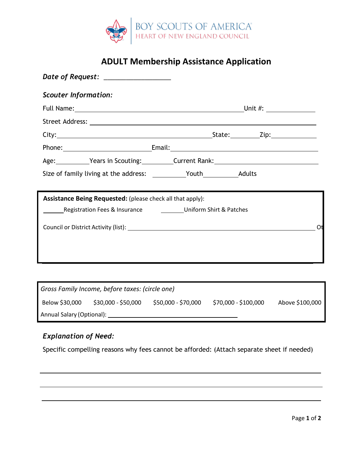

# **ADULT Membership Assistance Application**

| Date of Request: __________________                                |                                                    |    |
|--------------------------------------------------------------------|----------------------------------------------------|----|
| <b>Scouter Information:</b>                                        |                                                    |    |
|                                                                    | Full Name: Unit #:                                 |    |
|                                                                    |                                                    |    |
|                                                                    |                                                    |    |
|                                                                    |                                                    |    |
|                                                                    | Age: Years in Scouting: Current Rank: Network 2014 |    |
|                                                                    |                                                    |    |
| Assistance Being Requested: (please check all that apply):         |                                                    |    |
| Registration Fees & Insurance _____________Uniform Shirt & Patches |                                                    |    |
|                                                                    |                                                    | Ot |
|                                                                    |                                                    |    |
|                                                                    |                                                    |    |
|                                                                    |                                                    |    |

| Gross Family Income, before taxes: (circle one) |                     |                     |                      |                 |  |  |  |
|-------------------------------------------------|---------------------|---------------------|----------------------|-----------------|--|--|--|
| Below \$30,000                                  | \$30,000 - \$50,000 | \$50,000 - \$70,000 | \$70,000 - \$100,000 | Above \$100,000 |  |  |  |
| Annual Salary (Optional):                       |                     |                     |                      |                 |  |  |  |

## *Explanation of Need:*

Specific compelling reasons why fees cannot be afforded: (Attach separate sheet if needed)